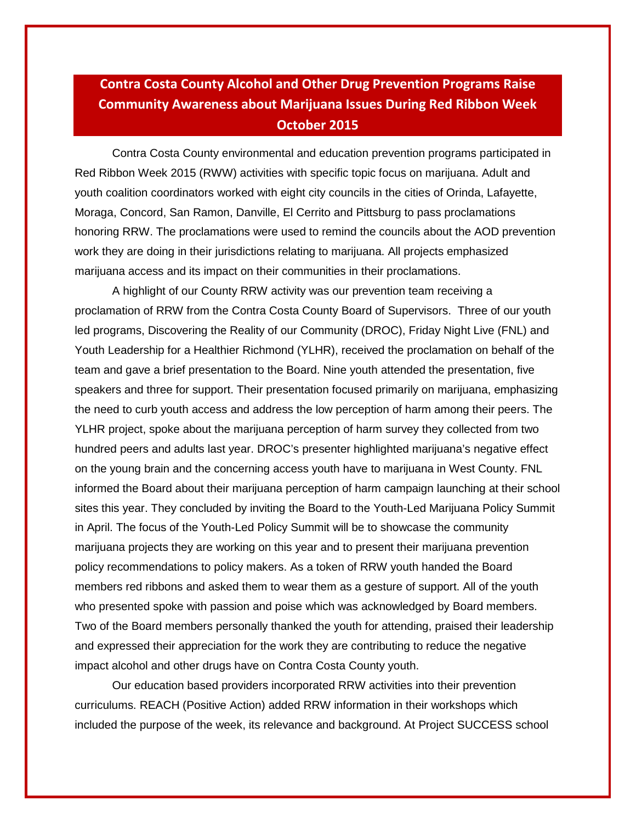## **Contra Costa County Alcohol and Other Drug Prevention Programs Raise Community Awareness about Marijuana Issues During Red Ribbon Week October 2015**

Contra Costa County environmental and education prevention programs participated in Red Ribbon Week 2015 (RWW) activities with specific topic focus on marijuana. Adult and youth coalition coordinators worked with eight city councils in the cities of Orinda, Lafayette, Moraga, Concord, San Ramon, Danville, El Cerrito and Pittsburg to pass proclamations honoring RRW. The proclamations were used to remind the councils about the AOD prevention work they are doing in their jurisdictions relating to marijuana. All projects emphasized marijuana access and its impact on their communities in their proclamations.

A highlight of our County RRW activity was our prevention team receiving a proclamation of RRW from the Contra Costa County Board of Supervisors. Three of our youth led programs, Discovering the Reality of our Community (DROC), Friday Night Live (FNL) and Youth Leadership for a Healthier Richmond (YLHR), received the proclamation on behalf of the team and gave a brief presentation to the Board. Nine youth attended the presentation, five speakers and three for support. Their presentation focused primarily on marijuana, emphasizing the need to curb youth access and address the low perception of harm among their peers. The YLHR project, spoke about the marijuana perception of harm survey they collected from two hundred peers and adults last year. DROC's presenter highlighted marijuana's negative effect on the young brain and the concerning access youth have to marijuana in West County. FNL informed the Board about their marijuana perception of harm campaign launching at their school sites this year. They concluded by inviting the Board to the Youth-Led Marijuana Policy Summit in April. The focus of the Youth-Led Policy Summit will be to showcase the community marijuana projects they are working on this year and to present their marijuana prevention policy recommendations to policy makers. As a token of RRW youth handed the Board members red ribbons and asked them to wear them as a gesture of support. All of the youth who presented spoke with passion and poise which was acknowledged by Board members. Two of the Board members personally thanked the youth for attending, praised their leadership and expressed their appreciation for the work they are contributing to reduce the negative impact alcohol and other drugs have on Contra Costa County youth.

Our education based providers incorporated RRW activities into their prevention curriculums. REACH (Positive Action) added RRW information in their workshops which included the purpose of the week, its relevance and background. At Project SUCCESS school